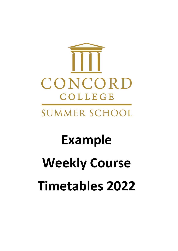

## **Example Weekly Course Timetables 2022**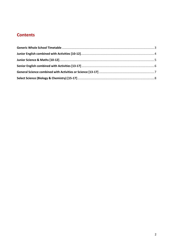## **Contents**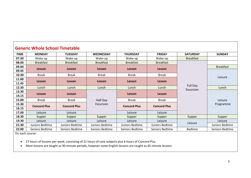| <b>Generic Whole School Timetable</b> |                     |                     |                  |                     |                     |                       |                  |  |  |
|---------------------------------------|---------------------|---------------------|------------------|---------------------|---------------------|-----------------------|------------------|--|--|
| <b>TIME</b>                           | <b>MONDAY</b>       | <b>TUESDAY</b>      | <b>WEDNESDAY</b> | <b>THURSDAY</b>     | <b>FRIDAY</b>       | <b>SATURDAY</b>       | <b>SUNDAY</b>    |  |  |
| 07.30                                 | Wake-up             | Wake-up             | Wake-up          | Wake-up             | Wake-up             | <b>Breakfast</b>      |                  |  |  |
| 08.00                                 | <b>Breakfast</b>    | <b>Breakfast</b>    | <b>Breakfast</b> | <b>Breakfast</b>    | <b>Breakfast</b>    |                       |                  |  |  |
| 09.00                                 | <b>Lesson</b>       | Lesson              | Lesson           | Lesson              | Lesson              |                       | <b>Breakfast</b> |  |  |
| 09.45                                 |                     |                     |                  |                     |                     |                       |                  |  |  |
| 10.30                                 | <b>Break</b>        | <b>Break</b>        | <b>Break</b>     | <b>Break</b>        | <b>Break</b>        |                       | Leisure          |  |  |
| 11.00                                 | <b>Lesson</b>       | Lesson              | Lesson           | Lesson              | Lesson              |                       |                  |  |  |
| 11.45                                 |                     |                     |                  |                     |                     |                       |                  |  |  |
| 12.30                                 | Lunch               | Lunch               | Lunch            | Lunch               | Lunch               | Full Day<br>Excursion | Lunch            |  |  |
| 13.30                                 |                     | Lesson              |                  | Lesson              | Lesson              |                       | Leisure          |  |  |
| 14.15                                 |                     | <b>Lesson</b>       |                  |                     |                     |                       |                  |  |  |
| 15.00                                 | <b>Break</b>        | <b>Break</b>        | Half Day         | <b>Break</b>        | <b>Break</b>        |                       |                  |  |  |
| 15.30                                 | <b>Concord Plus</b> | <b>Concord Plus</b> | Excursion        | <b>Concord Plus</b> | <b>Concord Plus</b> |                       | Programme        |  |  |
| 16.15                                 |                     |                     |                  |                     |                     |                       |                  |  |  |
| 17.00                                 | Leisure             | Leisure             |                  | Leisure             | Leisure             |                       |                  |  |  |
| 18.30                                 | Supper              | Supper              | Supper           | Supper              | Supper              | Supper                | Supper           |  |  |
| 19.30                                 | Leisure             | Leisure             | Leisure          | Leisure             | Leisure             | Leisure               | Leisure          |  |  |
| 21.30                                 | Juniors Bedtime     | Juniors Bedtime     | Juniors Bedtime  | Juniors Bedtime     | Juniors Bedtime     |                       | Juniors Bedtime  |  |  |
| 22.00                                 | Seniors Bedtime     | Seniors Bedtime     | Seniors Bedtime  | Seniors Bedtime     | Seniors Bedtime     | <b>Bedtime</b>        | Seniors Bedtime  |  |  |
|                                       | On each course:     |                     |                  |                     |                     |                       |                  |  |  |

<span id="page-2-0"></span>• 27 hours of lessons per week, consisting of 21 hours of core subjects plus 6 hours of Concord Plus

• Most lessons are taught as 90-minute periods, however some English lessons are taught as 45-minute lessons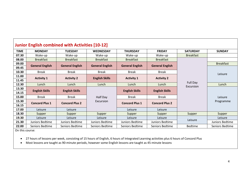| <b>Junior English combined with Activities [10-12]</b> |                        |                        |                        |                        |                        |                       |                  |  |
|--------------------------------------------------------|------------------------|------------------------|------------------------|------------------------|------------------------|-----------------------|------------------|--|
| <b>TIME</b>                                            | <b>MONDAY</b>          | <b>TUESDAY</b>         | <b>WEDNESDAY</b>       | <b>THURSDAY</b>        | <b>FRIDAY</b>          | <b>SATURDAY</b>       | <b>SUNDAY</b>    |  |
| 07.30                                                  | Wake-up                | Wake-up                | Wake-up                | Wake-up                | Wake-up                | <b>Breakfast</b>      |                  |  |
| 08.00                                                  | <b>Breakfast</b>       | <b>Breakfast</b>       | <b>Breakfast</b>       | <b>Breakfast</b>       | <b>Breakfast</b>       |                       |                  |  |
| 09.00                                                  |                        |                        |                        |                        |                        |                       | <b>Breakfast</b> |  |
| 09.45                                                  | <b>General English</b> | <b>General English</b> | <b>General English</b> | <b>General English</b> | <b>General English</b> |                       |                  |  |
| 10.30                                                  | <b>Break</b>           | <b>Break</b>           | <b>Break</b>           | <b>Break</b>           | <b>Break</b>           |                       | Leisure          |  |
| 11.00                                                  | <b>Activity 1</b>      | <b>Activity 2</b>      | <b>English Skills</b>  | <b>Activity 1</b>      | <b>Activity 2</b>      |                       |                  |  |
| 11.45                                                  |                        |                        |                        |                        |                        |                       |                  |  |
| 12.30                                                  | Lunch                  | Lunch                  | Lunch                  | Lunch                  | Lunch                  | Full Day<br>Excursion | Lunch            |  |
| 13.30                                                  | <b>English Skills</b>  | <b>English Skills</b>  |                        | <b>English Skills</b>  | <b>English Skills</b>  |                       |                  |  |
| 14.15                                                  |                        |                        |                        |                        |                        |                       | Leisure          |  |
| 15.00                                                  | <b>Break</b>           | <b>Break</b>           | Half Day               | <b>Break</b>           | <b>Break</b>           |                       |                  |  |
| 15.30                                                  | <b>Concord Plus 1</b>  | <b>Concord Plus 2</b>  | Excursion              | <b>Concord Plus 1</b>  | <b>Concord Plus 2</b>  |                       | Programme        |  |
| 16.15                                                  |                        |                        |                        |                        |                        |                       |                  |  |
| 17.00                                                  | Leisure                | Leisure                |                        | Leisure                | Leisure                |                       |                  |  |
| 18.30                                                  | Supper                 | Supper                 | Supper                 | Supper                 | Supper                 | Supper                | Supper           |  |
| 19.30                                                  | Leisure                | Leisure                | Leisure                | Leisure                | Leisure                | Leisure               | Leisure          |  |
| 21.30                                                  | Juniors Bedtime        | Juniors Bedtime        | Juniors Bedtime        | Juniors Bedtime        | Juniors Bedtime        |                       | Juniors Bedtime  |  |
| 22.00                                                  | Seniors Bedtime        | Seniors Bedtime        | Seniors Bedtime        | Seniors Bedtime        | Seniors Bedtime        | <b>Bedtime</b>        | Seniors Bedtime  |  |

<span id="page-3-0"></span>• 27 hours of lessons per week, consisting of 15 hours of English, 6 hours of Integrated Learning activities plus 6 hours of Concord Plus

• Most lessons are taught as 90-minute periods, however some English lessons are taught as 45-minute lessons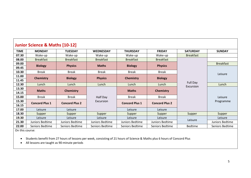| Junior Science & Maths [10-12] |                       |                       |                  |                       |                       |                              |                  |  |
|--------------------------------|-----------------------|-----------------------|------------------|-----------------------|-----------------------|------------------------------|------------------|--|
| <b>TIME</b>                    | <b>MONDAY</b>         | <b>TUESDAY</b>        | <b>WEDNESDAY</b> | <b>THURSDAY</b>       | <b>FRIDAY</b>         | <b>SATURDAY</b>              | <b>SUNDAY</b>    |  |
| 07.30                          | Wake-up               | Wake-up               | Wake-up          | Wake-up               | Wake-up               | <b>Breakfast</b>             |                  |  |
| 08.00                          | <b>Breakfast</b>      | <b>Breakfast</b>      | <b>Breakfast</b> | <b>Breakfast</b>      | <b>Breakfast</b>      |                              |                  |  |
| 09.00                          | <b>Biology</b>        | <b>Physics</b>        | <b>Maths</b>     | <b>Biology</b>        | <b>Physics</b>        |                              | <b>Breakfast</b> |  |
| 09.45                          |                       |                       |                  |                       |                       |                              |                  |  |
| 10.30                          | <b>Break</b>          | <b>Break</b>          | <b>Break</b>     | <b>Break</b>          | <b>Break</b>          |                              | Leisure          |  |
| 11.00                          | <b>Chemistry</b>      | <b>Biology</b>        | <b>Physics</b>   | <b>Chemistry</b>      | <b>Biology</b>        |                              |                  |  |
| 11.45                          |                       |                       |                  |                       |                       |                              |                  |  |
| 12.30                          | Lunch                 | Lunch                 | Lunch            | Lunch                 | Lunch                 | <b>Full Day</b><br>Excursion | Lunch            |  |
| 13.30                          | <b>Maths</b>          | <b>Chemistry</b>      |                  | <b>Maths</b>          | <b>Chemistry</b>      |                              |                  |  |
| 14.15                          |                       |                       |                  |                       |                       |                              |                  |  |
| 15.00                          | <b>Break</b>          | Break                 | Half Day         | <b>Break</b>          | <b>Break</b>          |                              | Leisure          |  |
| 15.30                          | <b>Concord Plus 1</b> | <b>Concord Plus 2</b> | Excursion        | <b>Concord Plus 1</b> | <b>Concord Plus 2</b> |                              | Programme        |  |
| 16.15                          |                       |                       |                  |                       |                       |                              |                  |  |
| 17.00                          | Leisure               | Leisure               |                  | Leisure               | Leisure               |                              |                  |  |
| 18.30                          | Supper                | Supper                | Supper           | Supper                | Supper                | Supper                       | Supper           |  |
| 19.30                          | Leisure               | Leisure               | Leisure          | Leisure               | Leisure               | Leisure                      | Leisure          |  |
| 21.30                          | Juniors Bedtime       | Juniors Bedtime       | Juniors Bedtime  | Juniors Bedtime       | Juniors Bedtime       |                              | Juniors Bedtime  |  |
| 22.00                          | Seniors Bedtime       | Seniors Bedtime       | Seniors Bedtime  | Seniors Bedtime       | Seniors Bedtime       | <b>Bedtime</b>               | Seniors Bedtime  |  |

<span id="page-4-0"></span>• Students benefit from 27 hours of lessons per week, consisting of 21 hours of Science & Maths plus 6 hours of Concord Plus

• All lessons are taught as 90-minute periods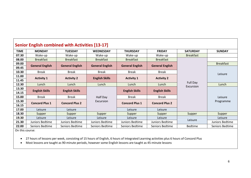| <b>Senior English combined with Activities [13-17]</b> |                        |                        |                        |                        |                        |                              |                  |  |
|--------------------------------------------------------|------------------------|------------------------|------------------------|------------------------|------------------------|------------------------------|------------------|--|
| <b>TIME</b>                                            | <b>MONDAY</b>          | <b>TUESDAY</b>         | <b>WEDNESDAY</b>       | <b>THURSDAY</b>        | <b>FRIDAY</b>          | <b>SATURDAY</b>              | <b>SUNDAY</b>    |  |
| 07.30                                                  | Wake-up                | Wake-up                | Wake-up                | Wake-up                | Wake-up                | <b>Breakfast</b>             |                  |  |
| 08.00                                                  | <b>Breakfast</b>       | <b>Breakfast</b>       | <b>Breakfast</b>       | <b>Breakfast</b>       | <b>Breakfast</b>       |                              |                  |  |
| 09.00                                                  |                        |                        |                        |                        |                        |                              | <b>Breakfast</b> |  |
| 09.45                                                  | <b>General English</b> | <b>General English</b> | <b>General English</b> | <b>General English</b> | <b>General English</b> |                              |                  |  |
| 10.30                                                  | <b>Break</b>           | <b>Break</b>           | <b>Break</b>           | <b>Break</b>           | <b>Break</b>           |                              | Leisure          |  |
| 11.00                                                  | <b>Activity 1</b>      |                        |                        | <b>Activity 1</b>      |                        | <b>Full Day</b><br>Excursion |                  |  |
| 11.45                                                  |                        | <b>Activity 2</b>      | <b>English Skills</b>  |                        | <b>Activity 2</b>      |                              |                  |  |
| 12.30                                                  | Lunch                  | Lunch                  | Lunch                  | Lunch                  | Lunch                  |                              | Lunch            |  |
| 13.30                                                  | <b>English Skills</b>  | <b>English Skills</b>  |                        | <b>English Skills</b>  | <b>English Skills</b>  |                              |                  |  |
| 14.15                                                  |                        |                        |                        |                        |                        |                              |                  |  |
| 15.00                                                  | <b>Break</b>           | <b>Break</b>           | Half Day               | <b>Break</b>           | <b>Break</b>           |                              | Leisure          |  |
| 15.30                                                  | <b>Concord Plus 1</b>  | <b>Concord Plus 2</b>  | Excursion              | <b>Concord Plus 1</b>  | <b>Concord Plus 2</b>  |                              | Programme        |  |
| 16.15                                                  |                        |                        |                        |                        |                        |                              |                  |  |
| 17.00                                                  | Leisure                | Leisure                |                        | Leisure                | Leisure                |                              |                  |  |
| 18.30                                                  | Supper                 | Supper                 | Supper                 | Supper                 | Supper                 | Supper                       | Supper           |  |
| 19.30                                                  | Leisure                | Leisure                | Leisure                | Leisure                | Leisure                | Leisure                      | Leisure          |  |
| 21.30                                                  | Juniors Bedtime        | Juniors Bedtime        | Juniors Bedtime        | Juniors Bedtime        | Juniors Bedtime        |                              | Juniors Bedtime  |  |
| 22.00                                                  | Seniors Bedtime        | Seniors Bedtime        | Seniors Bedtime        | Seniors Bedtime        | Seniors Bedtime        | <b>Bedtime</b>               | Seniors Bedtime  |  |

<span id="page-5-0"></span>• 27 hours of lessons per week, consisting of 15 hours of English, 6 hours of Integrated Learning activities plus 6 hours of Concord Plus

• Most lessons are taught as 90-minute periods, however some English lessons are taught as 45-minute lessons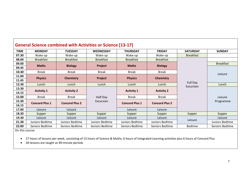| <b>General Science combined with Activities or Science [13-17]</b> |                       |                       |                  |                       |                       |                              |                  |  |
|--------------------------------------------------------------------|-----------------------|-----------------------|------------------|-----------------------|-----------------------|------------------------------|------------------|--|
| <b>TIME</b>                                                        | <b>MONDAY</b>         | <b>TUESDAY</b>        | <b>WEDNESDAY</b> | <b>THURSDAY</b>       | <b>FRIDAY</b>         | <b>SATURDAY</b>              | <b>SUNDAY</b>    |  |
| 07.30                                                              | Wake-up               | Wake-up               | Wake-up          | Wake-up               | Wake-up               | <b>Breakfast</b>             |                  |  |
| 08.00                                                              | <b>Breakfast</b>      | <b>Breakfast</b>      | <b>Breakfast</b> | <b>Breakfast</b>      | <b>Breakfast</b>      |                              |                  |  |
| 09.00                                                              | <b>Maths</b>          | <b>Biology</b>        | Project          | <b>Maths</b>          | <b>Biology</b>        |                              | <b>Breakfast</b> |  |
| 09.45                                                              |                       |                       |                  |                       |                       |                              |                  |  |
| 10.30                                                              | <b>Break</b>          | <b>Break</b>          | Break            | <b>Break</b>          | <b>Break</b>          |                              | Leisure          |  |
| 11.00                                                              | <b>Physics</b>        | <b>Chemistry</b>      | Project          | <b>Physics</b>        | <b>Chemistry</b>      |                              |                  |  |
| 11.45                                                              |                       |                       |                  |                       |                       | <b>Full Day</b><br>Excursion |                  |  |
| 12.30                                                              | Lunch                 | Lunch                 | Lunch            | Lunch                 | Lunch                 |                              | Lunch            |  |
| 13.30                                                              | <b>Activity 1</b>     | <b>Activity 2</b>     |                  | <b>Activity 1</b>     | <b>Activity 2</b>     |                              |                  |  |
| 14.15                                                              |                       |                       |                  |                       |                       |                              |                  |  |
| 15.00                                                              | <b>Break</b>          | <b>Break</b>          | Half Day         | <b>Break</b>          | <b>Break</b>          |                              | Leisure          |  |
| 15.30                                                              | <b>Concord Plus 1</b> | <b>Concord Plus 2</b> | Excursion        | <b>Concord Plus 1</b> | <b>Concord Plus 2</b> |                              | Programme        |  |
| 16.15                                                              |                       |                       |                  |                       |                       |                              |                  |  |
| 17.00                                                              | Leisure               | Leisure               |                  | Leisure               | Leisure               |                              |                  |  |
| 18.30                                                              | Supper                | Supper                | Supper           | Supper                | Supper                | Supper                       | Supper           |  |
| 19.30                                                              | Leisure               | Leisure               | Leisure          | Leisure               | Leisure               | Leisure                      | Leisure          |  |
| 21.30                                                              | Juniors Bedtime       | Juniors Bedtime       | Juniors Bedtime  | Juniors Bedtime       | Juniors Bedtime       |                              | Juniors Bedtime  |  |
| 22.00                                                              | Seniors Bedtime       | Seniors Bedtime       | Seniors Bedtime  | Seniors Bedtime       | Seniors Bedtime       | <b>Bedtime</b>               | Seniors Bedtime  |  |

<span id="page-6-0"></span>• 27 hours of lessons per week, consisting of 15 hours of Science & Maths, 6 hours of Integrated Learning activities plus 6 hours of Concord Plus

• All lessons are taught as 90-minute periods